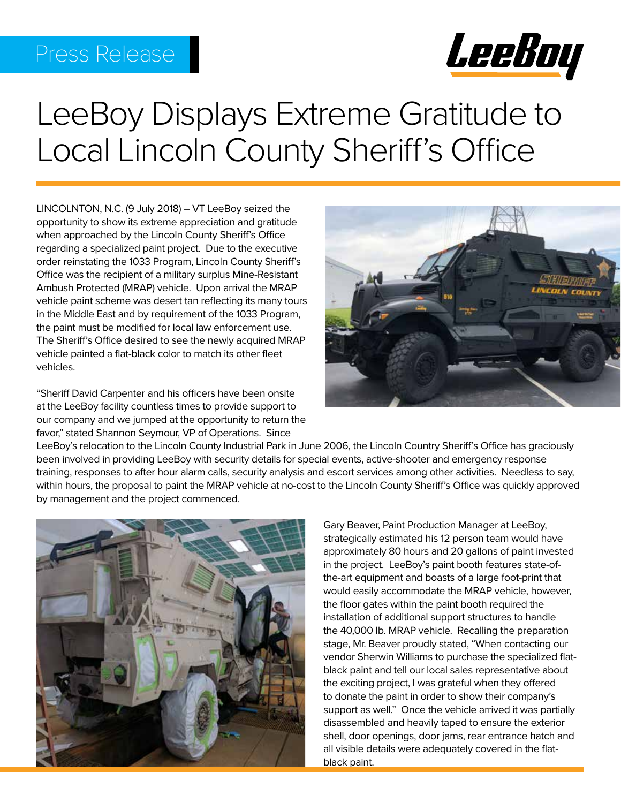# Press Release



# LeeBoy Displays Extreme Gratitude to Local Lincoln County Sheriff's Office

LINCOLNTON, N.C. (9 July 2018) – VT LeeBoy seized the opportunity to show its extreme appreciation and gratitude when approached by the Lincoln County Sheriff's Office regarding a specialized paint project. Due to the executive order reinstating the 1033 Program, Lincoln County Sheriff's Office was the recipient of a military surplus Mine-Resistant Ambush Protected (MRAP) vehicle. Upon arrival the MRAP vehicle paint scheme was desert tan reflecting its many tours in the Middle East and by requirement of the 1033 Program, the paint must be modified for local law enforcement use. The Sheriff's Office desired to see the newly acquired MRAP vehicle painted a flat-black color to match its other fleet vehicles.

"Sheriff David Carpenter and his officers have been onsite at the LeeBoy facility countless times to provide support to our company and we jumped at the opportunity to return the favor," stated Shannon Seymour, VP of Operations. Since



LeeBoy's relocation to the Lincoln County Industrial Park in June 2006, the Lincoln Country Sheriff's Office has graciously been involved in providing LeeBoy with security details for special events, active-shooter and emergency response training, responses to after hour alarm calls, security analysis and escort services among other activities. Needless to say, within hours, the proposal to paint the MRAP vehicle at no-cost to the Lincoln County Sheriff's Office was quickly approved by management and the project commenced.



Gary Beaver, Paint Production Manager at LeeBoy, strategically estimated his 12 person team would have approximately 80 hours and 20 gallons of paint invested in the project. LeeBoy's paint booth features state-ofthe-art equipment and boasts of a large foot-print that would easily accommodate the MRAP vehicle, however, the floor gates within the paint booth required the installation of additional support structures to handle the 40,000 lb. MRAP vehicle. Recalling the preparation stage, Mr. Beaver proudly stated, "When contacting our vendor Sherwin Williams to purchase the specialized flatblack paint and tell our local sales representative about the exciting project, I was grateful when they offered to donate the paint in order to show their company's support as well." Once the vehicle arrived it was partially disassembled and heavily taped to ensure the exterior shell, door openings, door jams, rear entrance hatch and all visible details were adequately covered in the flatblack paint.